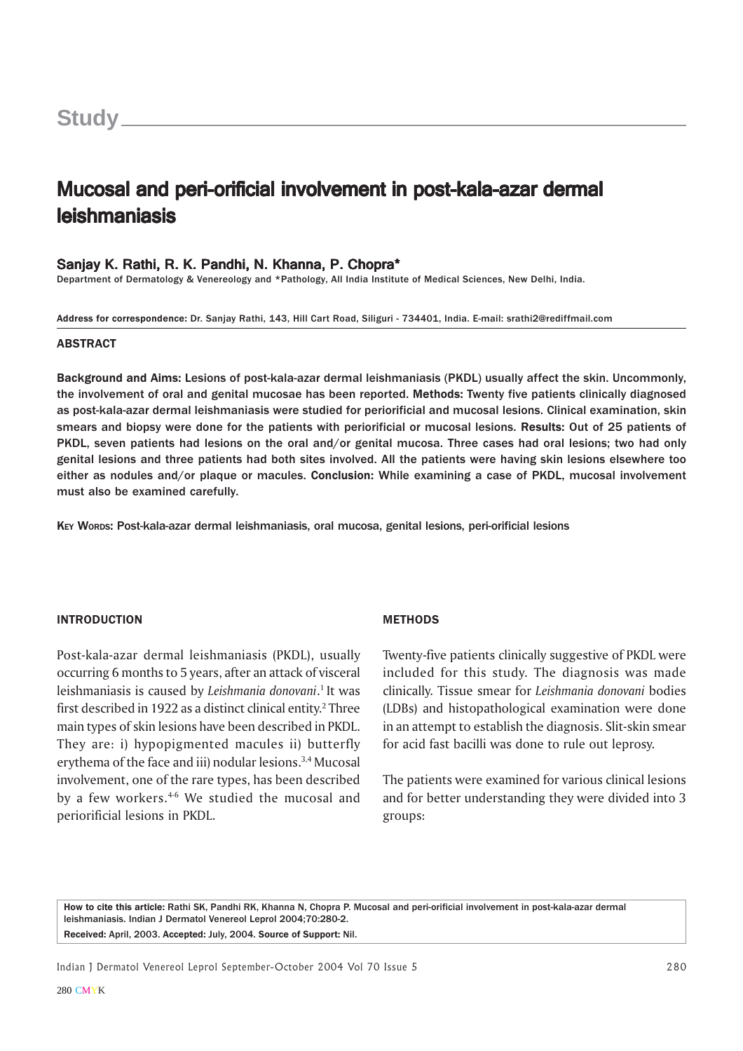# Mucosal and peri-orificial involvement in post-kala-azar dermal leishmaniasis leishmaniasis

## Sanjay K. Rathi, R. K. Pandhi, N. Khanna, P. Chopra\*

Department of Dermatology & Venereology and \*Pathology, All India Institute of Medical Sciences, New Delhi, India.

Address for correspondence: Dr. Sanjay Rathi, 143, Hill Cart Road, Siliguri - 734401, India. E-mail: srathi2@rediffmail.com

#### ABSTRACT

Background and Aims: Lesions of post-kala-azar dermal leishmaniasis (PKDL) usually affect the skin. Uncommonly, the involvement of oral and genital mucosae has been reported. Methods: Twenty five patients clinically diagnosed as post-kala-azar dermal leishmaniasis were studied for periorificial and mucosal lesions. Clinical examination, skin smears and biopsy were done for the patients with periorificial or mucosal lesions. Results: Out of 25 patients of PKDL, seven patients had lesions on the oral and/or genital mucosa. Three cases had oral lesions; two had only genital lesions and three patients had both sites involved. All the patients were having skin lesions elsewhere too either as nodules and/or plaque or macules. Conclusion: While examining a case of PKDL, mucosal involvement must also be examined carefully.

KEY WORDS: Post-kala-azar dermal leishmaniasis, oral mucosa, genital lesions, peri-orificial lesions

#### INTRODUCTION

Post-kala-azar dermal leishmaniasis (PKDL), usually occurring 6 months to 5 years, after an attack of visceral leishmaniasis is caused by Leishmania donovani.<sup>1</sup> It was first described in 1922 as a distinct clinical entity.<sup>2</sup> Three main types of skin lesions have been described in PKDL. They are: i) hypopigmented macules ii) butterfly erythema of the face and iii) nodular lesions.3,4 Mucosal involvement, one of the rare types, has been described by a few workers.<sup>4-6</sup> We studied the mucosal and periorificial lesions in PKDL.

#### **METHODS**

Twenty-five patients clinically suggestive of PKDL were included for this study. The diagnosis was made clinically. Tissue smear for Leishmania donovani bodies (LDBs) and histopathological examination were done in an attempt to establish the diagnosis. Slit-skin smear for acid fast bacilli was done to rule out leprosy.

The patients were examined for various clinical lesions and for better understanding they were divided into 3 groups:

How to cite this article: Rathi SK, Pandhi RK, Khanna N, Chopra P. Mucosal and peri-orificial involvement in post-kala-azar dermal leishmaniasis. Indian J Dermatol Venereol Leprol 2004;70:280-2. Received: April, 2003. Accepted: July, 2004. Source of Support: Nil.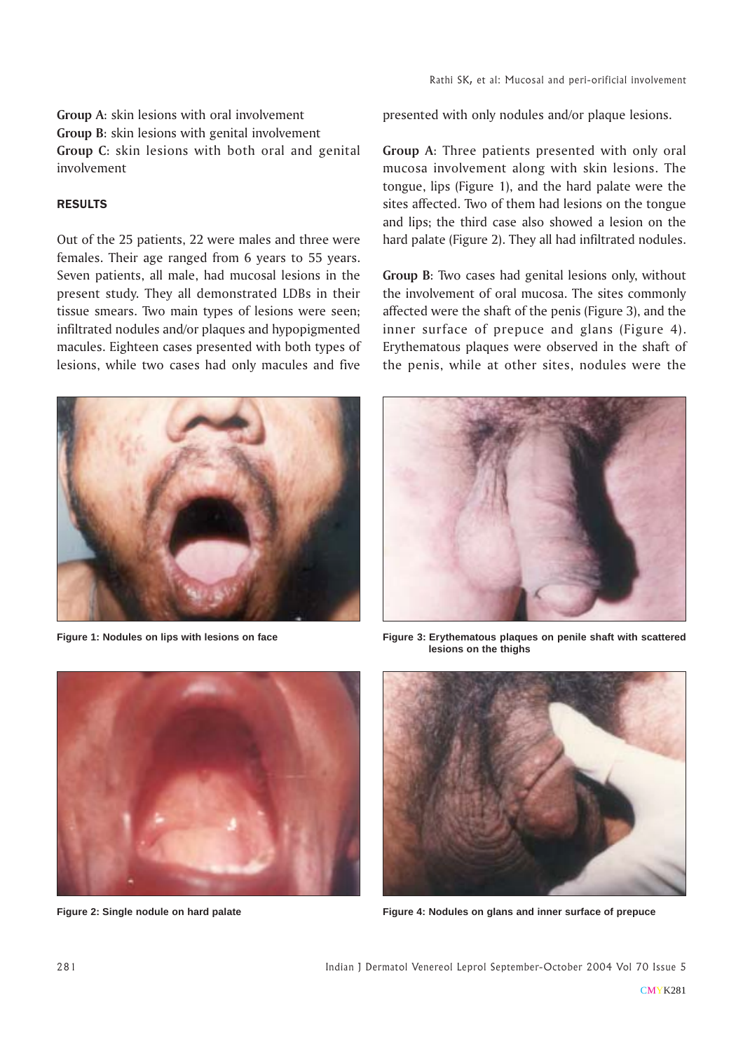# Group A: skin lesions with oral involvement Group B: skin lesions with genital involvement Group C: skin lesions with both oral and genital involvement

## RESULTS

Out of the 25 patients, 22 were males and three were females. Their age ranged from 6 years to 55 years. Seven patients, all male, had mucosal lesions in the present study. They all demonstrated LDBs in their tissue smears. Two main types of lesions were seen; infiltrated nodules and/or plaques and hypopigmented macules. Eighteen cases presented with both types of lesions, while two cases had only macules and five



**Figure 1: Nodules on lips with lesions on face**

presented with only nodules and/or plaque lesions.

Group A: Three patients presented with only oral mucosa involvement along with skin lesions. The tongue, lips (Figure 1), and the hard palate were the sites affected. Two of them had lesions on the tongue and lips; the third case also showed a lesion on the hard palate (Figure 2). They all had infiltrated nodules.

Group B: Two cases had genital lesions only, without the involvement of oral mucosa. The sites commonly affected were the shaft of the penis (Figure 3), and the inner surface of prepuce and glans (Figure 4). Erythematous plaques were observed in the shaft of the penis, while at other sites, nodules were the



**Figure 3: Erythematous plaques on penile shaft with scattered lesions on the thighs**



**Figure 2: Single nodule on hard palate**



**Figure 4: Nodules on glans and inner surface of prepuce**